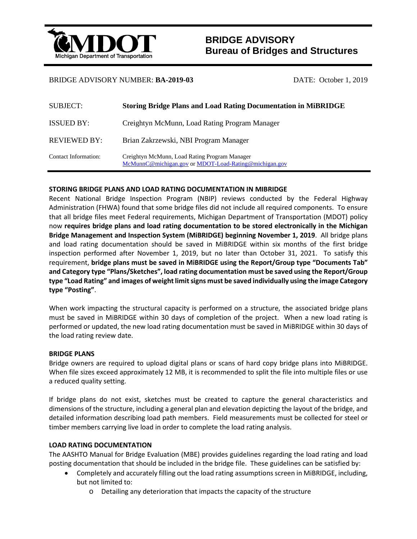

# **BRIDGE ADVISORY Bureau of Bridges and Structures**

## BRIDGE ADVISORY NUMBER: **BA-2019-03** DATE: October 1, 2019

| <b>SUBJECT:</b>      | <b>Storing Bridge Plans and Load Rating Documentation in MiBRIDGE</b>                                  |
|----------------------|--------------------------------------------------------------------------------------------------------|
| <b>ISSUED BY:</b>    | Creightyn McMunn, Load Rating Program Manager                                                          |
| <b>REVIEWED BY:</b>  | Brian Zakrzewski, NBI Program Manager                                                                  |
| Contact Information: | Creightyn McMunn, Load Rating Program Manager<br>McMunnC@michigan.gov or MDOT-Load-Rating@michigan.gov |

### **STORING BRIDGE PLANS AND LOAD RATING DOCUMENTATION IN MIBRIDGE**

Recent National Bridge Inspection Program (NBIP) reviews conducted by the Federal Highway Administration (FHWA) found that some bridge files did not include all required components. To ensure that all bridge files meet Federal requirements, Michigan Department of Transportation (MDOT) policy now **requires bridge plans and load rating documentation to be stored electronically in the Michigan Bridge Management and Inspection System (MiBRIDGE) beginning November 1, 2019**. All bridge plans and load rating documentation should be saved in MiBRIDGE within six months of the first bridge inspection performed after November 1, 2019, but no later than October 31, 2021. To satisfy this requirement, **bridge plans must be saved in MiBRIDGE using the Report/Group type "Documents Tab" and Category type "Plans/Sketches", load rating documentation must be saved using the Report/Group type "Load Rating" and images of weight limit signs must be saved individually using the image Category type "Posting"**.

When work impacting the structural capacity is performed on a structure, the associated bridge plans must be saved in MiBRIDGE within 30 days of completion of the project. When a new load rating is performed or updated, the new load rating documentation must be saved in MiBRIDGE within 30 days of the load rating review date.

### **BRIDGE PLANS**

Bridge owners are required to upload digital plans or scans of hard copy bridge plans into MiBRIDGE. When file sizes exceed approximately 12 MB, it is recommended to split the file into multiple files or use a reduced quality setting.

If bridge plans do not exist, sketches must be created to capture the general characteristics and dimensions of the structure, including a general plan and elevation depicting the layout of the bridge, and detailed information describing load path members. Field measurements must be collected for steel or timber members carrying live load in order to complete the load rating analysis.

### **LOAD RATING DOCUMENTATION**

The AASHTO Manual for Bridge Evaluation (MBE) provides guidelines regarding the load rating and load posting documentation that should be included in the bridge file. These guidelines can be satisfied by:

- Completely and accurately filling out the load rating assumptions screen in MiBRIDGE, including, but not limited to:
	- o Detailing any deterioration that impacts the capacity of the structure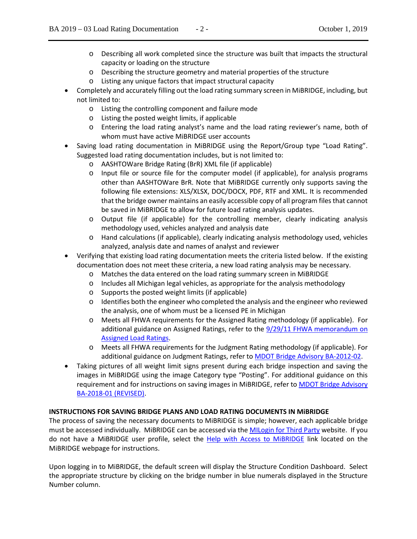- o Describing all work completed since the structure was built that impacts the structural capacity or loading on the structure
- o Describing the structure geometry and material properties of the structure
- o Listing any unique factors that impact structural capacity
- Completely and accurately filling out the load rating summary screen in MiBRIDGE, including, but not limited to:
	- o Listing the controlling component and failure mode
	- o Listing the posted weight limits, if applicable
	- o Entering the load rating analyst's name and the load rating reviewer's name, both of whom must have active MiBRIDGE user accounts
- Saving load rating documentation in MiBRIDGE using the Report/Group type "Load Rating". Suggested load rating documentation includes, but is not limited to:
	- o AASHTOWare Bridge Rating (BrR) XML file (if applicable)
	- o Input file or source file for the computer model (if applicable), for analysis programs other than AASHTOWare BrR. Note that MiBRIDGE currently only supports saving the following file extensions: XLS/XLSX, DOC/DOCX, PDF, RTF and XML. It is recommended that the bridge owner maintains an easily accessible copy of all program files that cannot be saved in MiBRIDGE to allow for future load rating analysis updates.
	- o Output file (if applicable) for the controlling member, clearly indicating analysis methodology used, vehicles analyzed and analysis date
	- o Hand calculations (if applicable), clearly indicating analysis methodology used, vehicles analyzed, analysis date and names of analyst and reviewer
- Verifying that existing load rating documentation meets the criteria listed below. If the existing documentation does not meet these criteria, a new load rating analysis may be necessary.
	- o Matches the data entered on the load rating summary screen in MiBRIDGE
	- o Includes all Michigan legal vehicles, as appropriate for the analysis methodology
	- o Supports the posted weight limits (if applicable)
	- o Identifies both the engineer who completed the analysis and the engineer who reviewed the analysis, one of whom must be a licensed PE in Michigan
	- o Meets all FHWA requirements for the Assigned Rating methodology (if applicable). For additional guidance on Assigned Ratings, refer to the 9/29/11 FHWA memorandum on Assigned Load Ratings.
	- o Meets all FHWA requirements for the Judgment Rating methodology (if applicable). For additional guidance on Judgment Ratings, refer to MDOT Bridge Advisory BA-2012-02.
- Taking pictures of all weight limit signs present during each bridge inspection and saving the images in MiBRIDGE using the image Category type "Posting". For additional guidance on this requirement and for instructions on saving images in MIBRIDGE, refer to **MDOT Bridge Advisory** BA-2018-01 (REVISED).

## **INSTRUCTIONS FOR SAVING BRIDGE PLANS AND LOAD RATING DOCUMENTS IN MiBRIDGE**

The process of saving the necessary documents to MiBRIDGE is simple; however, each applicable bridge must be accessed individually. MiBRIDGE can be accessed via the MILogin for Third Party website. If you do not have a MiBRIDGE user profile, select the Help with Access to MiBRIDGE link located on the MiBRIDGE webpage for instructions.

Upon logging in to MiBRIDGE, the default screen will display the Structure Condition Dashboard. Select the appropriate structure by clicking on the bridge number in blue numerals displayed in the Structure Number column.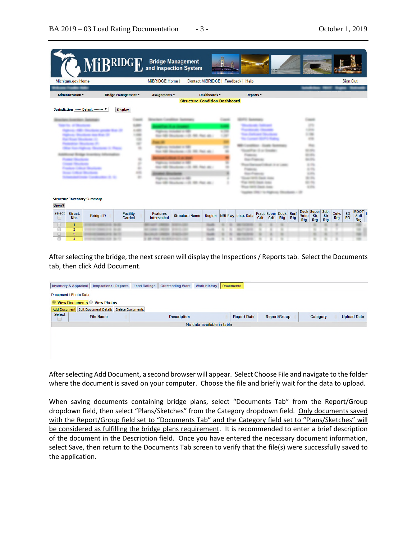| Michigan.gov Home            |                                       |                            |                            | <b>MiBRIDGE Home  </b>                    |                                                                                                                                                                             |              | Contact MiBRIDGE   Feedback   Help |      |                                 |     |                    |                    |                                                                                                                                    |                   |                     | <b>Sign Out</b> |                                 |
|------------------------------|---------------------------------------|----------------------------|----------------------------|-------------------------------------------|-----------------------------------------------------------------------------------------------------------------------------------------------------------------------------|--------------|------------------------------------|------|---------------------------------|-----|--------------------|--------------------|------------------------------------------------------------------------------------------------------------------------------------|-------------------|---------------------|-----------------|---------------------------------|
| <b>Administration</b> *      |                                       | <b>Bridge Management -</b> |                            | Assignments *                             |                                                                                                                                                                             | Dashboards * | Reports *                          |      |                                 |     |                    |                    |                                                                                                                                    |                   |                     |                 |                                 |
|                              |                                       |                            |                            |                                           | <b>Structure Condition Dashboard</b>                                                                                                                                        |              |                                    |      |                                 |     |                    |                    |                                                                                                                                    |                   |                     |                 |                                 |
|                              | Jurisdiction ----- Default -------- V | <b>Display</b>             |                            |                                           |                                                                                                                                                                             |              |                                    |      |                                 |     |                    |                    |                                                                                                                                    |                   |                     |                 |                                 |
|                              | <b>Structure Inventory Summary</b>    |                            | ۰<br>۰<br>ö<br>۰<br>m<br>۰ | <b>Carl Corp. Corp. Corp.</b><br>$-0.011$ | 22 500 Fax: 40<br><b>FURNISH REGISTER IN 1980</b><br>the same stage age.)<br><b>THE COLUMN TWO IS NOT</b><br>(2) 222-7500 all-1<br>as recounter in the<br>city and chan and |              |                                    |      | ---                             |     |                    |                    | <b>STAR</b><br>$\rightarrow$<br>49.<br>$-100$<br>$-11$<br>1.11<br>$1 - 10$<br>$4 - 24$<br>1175<br>$8 - 25$<br>$-10$<br><b>STAR</b> |                   |                     |                 |                                 |
| Open v<br><b>Select</b><br>U | Struct.<br><b>Bridge ID</b><br>Nbr.   |                            | <b>Facility</b><br>Carried | <b>Features</b><br><b>Intersected</b>     | <b>Structure Name</b>                                                                                                                                                       | Region       | <b>NBI Fwy Insp. Date</b>          | Crit | <b>Fract Scour Deck</b><br>Crit | Rtg | Surf<br><b>Rtg</b> | <b>Botm</b><br>Rtg | Deck Super Sub-<br>Str<br>Rtg                                                                                                      | Str<br><b>Rtg</b> | Culv.<br><b>Rtg</b> | SD<br>FO        | MDOT <sub>I</sub><br><b>Rtg</b> |

After selecting the bridge, the next screen will display the Inspections / Reports tab. Select the Documents tab, then click Add Document.

|                       | Inventory & Appraisal   Inspections / Reports   Load Ratings   Outstanding Work   Work History   Documents |                    |                            |                    |                     |          |                    |
|-----------------------|------------------------------------------------------------------------------------------------------------|--------------------|----------------------------|--------------------|---------------------|----------|--------------------|
| Document / Photo Data |                                                                                                            |                    |                            |                    |                     |          |                    |
|                       | ■ View Documents ● View Photos                                                                             |                    |                            |                    |                     |          |                    |
|                       | Add Document Edit Document Details Delete Documents                                                        |                    |                            |                    |                     |          |                    |
| <b>Select</b>         | <b>File Name</b>                                                                                           | <b>Description</b> |                            | <b>Report Date</b> | <b>Report/Group</b> | Category | <b>Upload Date</b> |
|                       |                                                                                                            |                    | No data available in table |                    |                     |          |                    |
|                       |                                                                                                            |                    |                            |                    |                     |          |                    |
|                       |                                                                                                            |                    |                            |                    |                     |          |                    |
|                       |                                                                                                            |                    |                            |                    |                     |          |                    |
|                       |                                                                                                            |                    |                            |                    |                     |          |                    |
|                       |                                                                                                            |                    |                            |                    |                     |          |                    |

After selecting Add Document, a second browser will appear. Select Choose File and navigate to the folder where the document is saved on your computer. Choose the file and briefly wait for the data to upload.

When saving documents containing bridge plans, select "Documents Tab" from the Report/Group dropdown field, then select "Plans/Sketches" from the Category dropdown field. Only documents saved with the Report/Group field set to "Documents Tab" and the Category field set to "Plans/Sketches" will be considered as fulfilling the bridge plans requirement. It is recommended to enter a brief description of the document in the Description field. Once you have entered the necessary document information, select Save, then return to the Documents Tab screen to verify that the file(s) were successfully saved to the application.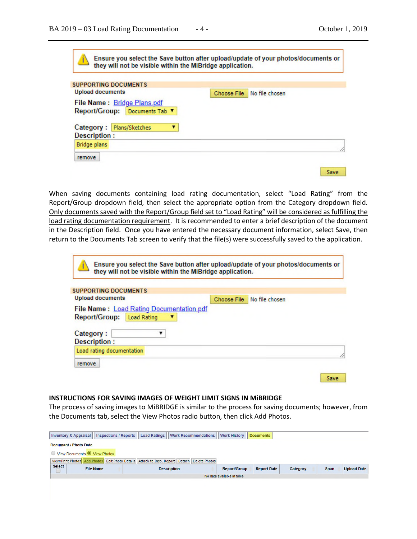Save

Ensure you select the Save button after upload/update of your photos/documents or they will not be visible within the MiBridge application. **SUPPORTING DOCUMENTS Upload documents** Choose File | No file chosen File Name: Bridge Plans.pdf Report/Group: Documents Tab ▼ Category : Plans/Sketches  $\mathbf{v}$ 

| Description :<br>Bridge plans |  |
|-------------------------------|--|
| remove                        |  |
|                               |  |

When saving documents containing load rating documentation, select "Load Rating" from the Report/Group dropdown field, then select the appropriate option from the Category dropdown field. Only documents saved with the Report/Group field set to "Load Rating" will be considered as fulfilling the load rating documentation requirement. It is recommended to enter a brief description of the document in the Description field. Once you have entered the necessary document information, select Save, then return to the Documents Tab screen to verify that the file(s) were successfully saved to the application.

| <b>Choose File</b> | No file chosen                           |  |
|--------------------|------------------------------------------|--|
|                    |                                          |  |
|                    |                                          |  |
|                    |                                          |  |
|                    |                                          |  |
|                    |                                          |  |
|                    | File Name: Load Rating Documentation.pdf |  |

#### **INSTRUCTIONS FOR SAVING IMAGES OF WEIGHT LIMIT SIGNS IN MiBRIDGE**

The process of saving images to MiBRIDGE is similar to the process for saving documents; however, from the Documents tab, select the View Photos radio button, then click Add Photos.

| <b>Inspections / Reports</b><br>Inventory & Appraisal                                       | <b>Load Ratings</b>        | <b>Work History</b><br><b>Work Recommendations</b> | <b>Documents</b>   |          |             |                    |  |  |  |  |
|---------------------------------------------------------------------------------------------|----------------------------|----------------------------------------------------|--------------------|----------|-------------|--------------------|--|--|--|--|
| Document / Photo Data                                                                       |                            |                                                    |                    |          |             |                    |  |  |  |  |
| View Documents View Photos                                                                  |                            |                                                    |                    |          |             |                    |  |  |  |  |
| View/Print Photos Add Photos Edit Photo Details Attach to Insp. Report Detach Delete Photos |                            |                                                    |                    |          |             |                    |  |  |  |  |
| <b>Select</b><br><b>File Name</b>                                                           | <b>Description</b>         | <b>Report/Group</b>                                | <b>Report Date</b> | Category | <b>Span</b> | <b>Upload Date</b> |  |  |  |  |
|                                                                                             | No data available in table |                                                    |                    |          |             |                    |  |  |  |  |
|                                                                                             |                            |                                                    |                    |          |             |                    |  |  |  |  |